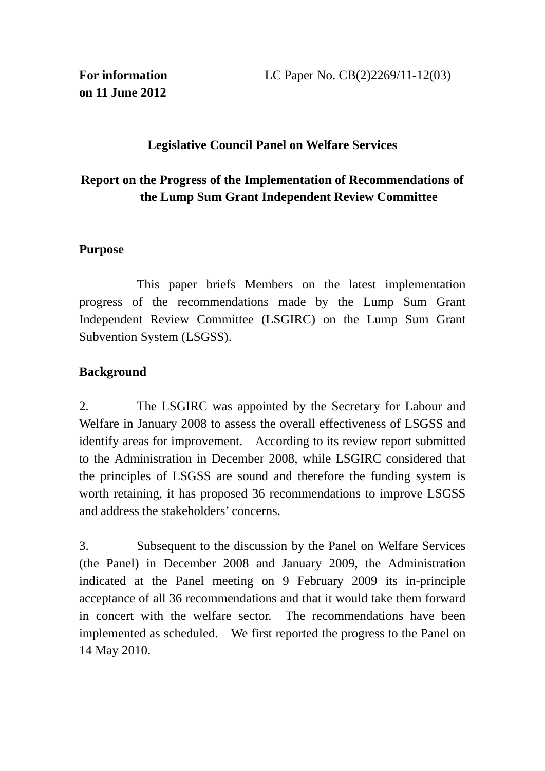#### **Legislative Council Panel on Welfare Services**

# **Report on the Progress of the Implementation of Recommendations of the Lump Sum Grant Independent Review Committee**

#### **Purpose**

 This paper briefs Members on the latest implementation progress of the recommendations made by the Lump Sum Grant Independent Review Committee (LSGIRC) on the Lump Sum Grant Subvention System (LSGSS).

# **Background**

2. The LSGIRC was appointed by the Secretary for Labour and Welfare in January 2008 to assess the overall effectiveness of LSGSS and identify areas for improvement. According to its review report submitted to the Administration in December 2008, while LSGIRC considered that the principles of LSGSS are sound and therefore the funding system is worth retaining, it has proposed 36 recommendations to improve LSGSS and address the stakeholders' concerns.

3. Subsequent to the discussion by the Panel on Welfare Services (the Panel) in December 2008 and January 2009, the Administration indicated at the Panel meeting on 9 February 2009 its in-principle acceptance of all 36 recommendations and that it would take them forward in concert with the welfare sector. The recommendations have been implemented as scheduled. We first reported the progress to the Panel on 14 May 2010.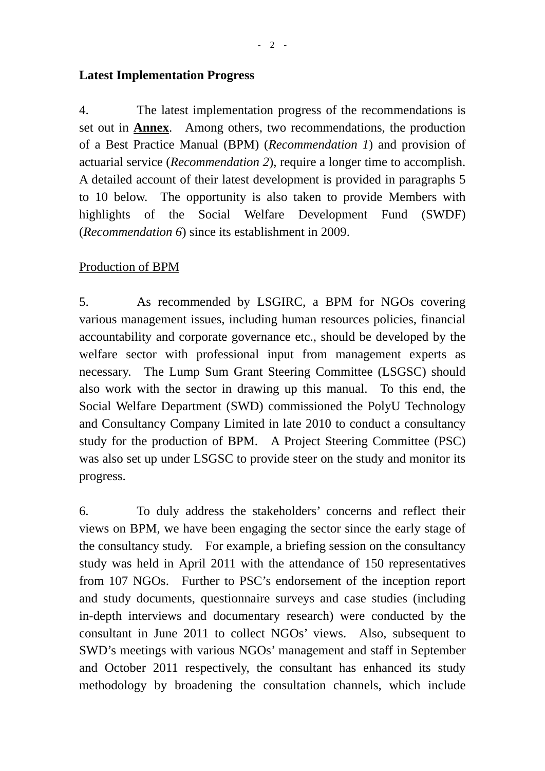#### **Latest Implementation Progress**

4. The latest implementation progress of the recommendations is set out in **Annex**. Among others, two recommendations, the production of a Best Practice Manual (BPM) (*Recommendation 1*) and provision of actuarial service (*Recommendation 2*), require a longer time to accomplish. A detailed account of their latest development is provided in paragraphs 5 to 10 below. The opportunity is also taken to provide Members with highlights of the Social Welfare Development Fund (SWDF) (*Recommendation 6*) since its establishment in 2009.

#### Production of BPM

5. As recommended by LSGIRC, a BPM for NGOs covering various management issues, including human resources policies, financial accountability and corporate governance etc., should be developed by the welfare sector with professional input from management experts as necessary. The Lump Sum Grant Steering Committee (LSGSC) should also work with the sector in drawing up this manual. To this end, the Social Welfare Department (SWD) commissioned the PolyU Technology and Consultancy Company Limited in late 2010 to conduct a consultancy study for the production of BPM. A Project Steering Committee (PSC) was also set up under LSGSC to provide steer on the study and monitor its progress.

6. To duly address the stakeholders' concerns and reflect their views on BPM, we have been engaging the sector since the early stage of the consultancy study. For example, a briefing session on the consultancy study was held in April 2011 with the attendance of 150 representatives from 107 NGOs. Further to PSC's endorsement of the inception report and study documents, questionnaire surveys and case studies (including in-depth interviews and documentary research) were conducted by the consultant in June 2011 to collect NGOs' views. Also, subsequent to SWD's meetings with various NGOs' management and staff in September and October 2011 respectively, the consultant has enhanced its study methodology by broadening the consultation channels, which include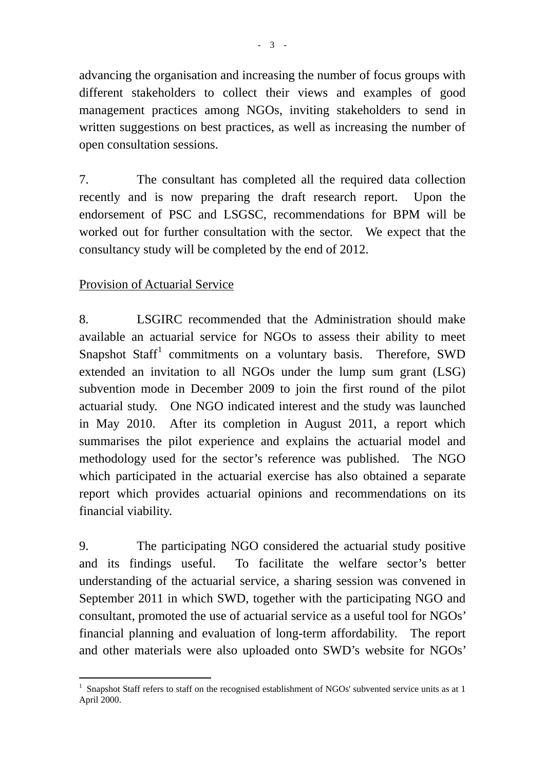advancing the organisation and increasing the number of focus groups with different stakeholders to collect their views and examples of good management practices among NGOs, inviting stakeholders to send in written suggestions on best practices, as well as increasing the number of open consultation sessions.

7. The consultant has completed all the required data collection recently and is now preparing the draft research report. Upon the endorsement of PSC and LSGSC, recommendations for BPM will be worked out for further consultation with the sector. We expect that the consultancy study will be completed by the end of 2012.

# Provision of Actuarial Service

8. LSGIRC recommended that the Administration should make available an actuarial service for NGOs to assess their ability to meet Snapshot Staff<sup>1</sup> commitments on a voluntary basis. Therefore, SWD extended an invitation to all NGOs under the lump sum grant (LSG) subvention mode in December 2009 to join the first round of the pilot actuarial study. One NGO indicated interest and the study was launched in May 2010. After its completion in August 2011, a report which summarises the pilot experience and explains the actuarial model and methodology used for the sector's reference was published. The NGO which participated in the actuarial exercise has also obtained a separate report which provides actuarial opinions and recommendations on its financial viability.

9. The participating NGO considered the actuarial study positive and its findings useful. To facilitate the welfare sector's better understanding of the actuarial service, a sharing session was convened in September 2011 in which SWD, together with the participating NGO and consultant, promoted the use of actuarial service as a useful tool for NGOs' financial planning and evaluation of long-term affordability. The report and other materials were also uploaded onto SWD's website for NGOs'

l  $1$  Snapshot Staff refers to staff on the recognised establishment of NGOs' subvented service units as at 1 April 2000.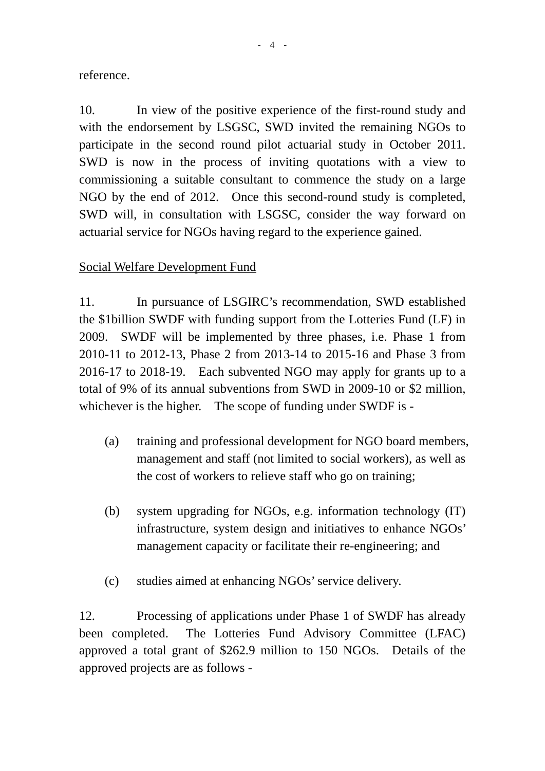reference.

10. In view of the positive experience of the first-round study and with the endorsement by LSGSC, SWD invited the remaining NGOs to participate in the second round pilot actuarial study in October 2011. SWD is now in the process of inviting quotations with a view to commissioning a suitable consultant to commence the study on a large NGO by the end of 2012. Once this second-round study is completed, SWD will, in consultation with LSGSC, consider the way forward on actuarial service for NGOs having regard to the experience gained.

# Social Welfare Development Fund

11. In pursuance of LSGIRC's recommendation, SWD established the \$1billion SWDF with funding support from the Lotteries Fund (LF) in 2009. SWDF will be implemented by three phases, i.e. Phase 1 from 2010-11 to 2012-13, Phase 2 from 2013-14 to 2015-16 and Phase 3 from 2016-17 to 2018-19. Each subvented NGO may apply for grants up to a total of 9% of its annual subventions from SWD in 2009-10 or \$2 million, whichever is the higher. The scope of funding under SWDF is -

- (a) training and professional development for NGO board members, management and staff (not limited to social workers), as well as the cost of workers to relieve staff who go on training;
- (b) system upgrading for NGOs, e.g. information technology (IT) infrastructure, system design and initiatives to enhance NGOs' management capacity or facilitate their re-engineering; and
- (c) studies aimed at enhancing NGOs' service delivery.

12. Processing of applications under Phase 1 of SWDF has already been completed. The Lotteries Fund Advisory Committee (LFAC) approved a total grant of \$262.9 million to 150 NGOs. Details of the approved projects are as follows -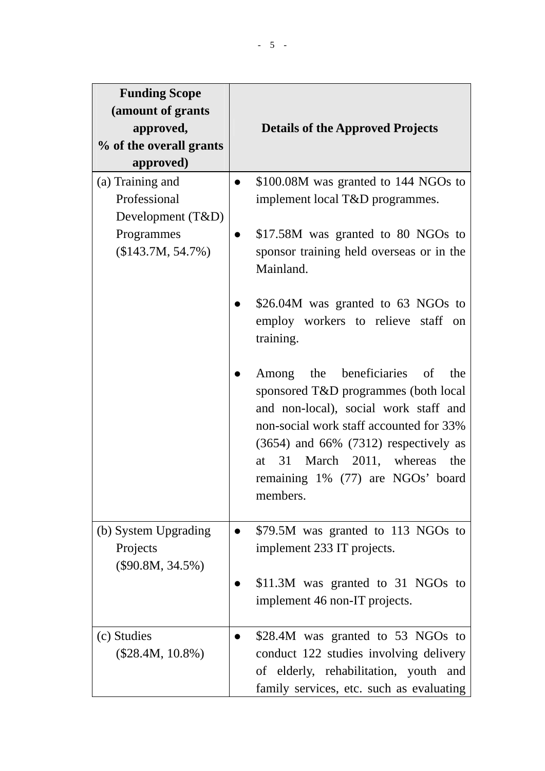| <b>Funding Scope</b>                                                                       |                                                                                                                                                                                                                                                                                              |
|--------------------------------------------------------------------------------------------|----------------------------------------------------------------------------------------------------------------------------------------------------------------------------------------------------------------------------------------------------------------------------------------------|
| (amount of grants                                                                          |                                                                                                                                                                                                                                                                                              |
| approved,<br>% of the overall grants                                                       | <b>Details of the Approved Projects</b>                                                                                                                                                                                                                                                      |
| approved)                                                                                  |                                                                                                                                                                                                                                                                                              |
| (a) Training and<br>Professional<br>Development (T&D)<br>Programmes<br>$($143.7M, 54.7\%)$ | \$100.08M was granted to 144 NGOs to<br>$\bullet$<br>implement local T&D programmes.<br>\$17.58M was granted to 80 NGOs to<br>sponsor training held overseas or in the                                                                                                                       |
|                                                                                            | Mainland.<br>\$26.04M was granted to 63 NGOs to<br>employ workers to relieve staff on<br>training.                                                                                                                                                                                           |
|                                                                                            | Among the beneficiaries of<br>the<br>sponsored T&D programmes (both local<br>and non-local), social work staff and<br>non-social work staff accounted for 33%<br>$(3654)$ and 66% $(7312)$ respectively as<br>at 31 March 2011, whereas the<br>remaining 1% (77) are NGOs' board<br>members. |
| (b) System Upgrading<br>Projects<br>$(\$90.8M, 34.5\%)$                                    | \$79.5M was granted to 113 NGOs to<br>$\bullet$<br>implement 233 IT projects.                                                                                                                                                                                                                |
|                                                                                            | \$11.3M was granted to 31 NGOs to<br>implement 46 non-IT projects.                                                                                                                                                                                                                           |
| (c) Studies<br>$(\$28.4M, 10.8\%)$                                                         | \$28.4M was granted to 53 NGOs to<br>conduct 122 studies involving delivery<br>of elderly, rehabilitation, youth and<br>family services, etc. such as evaluating                                                                                                                             |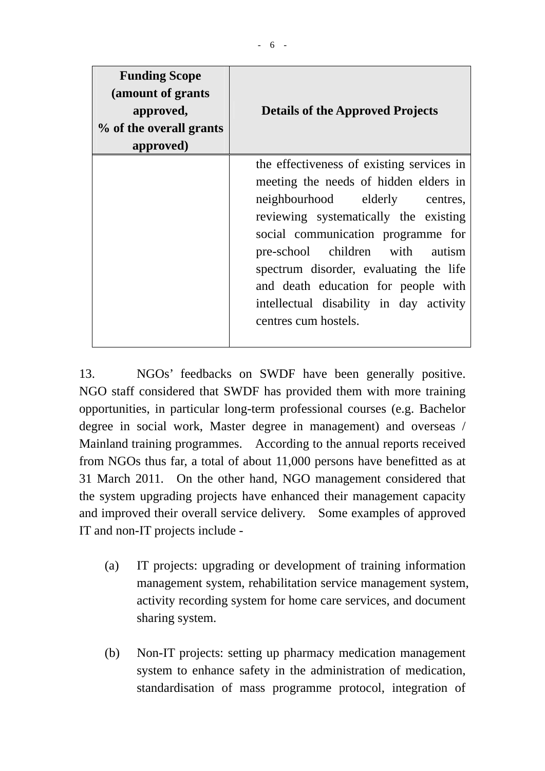| <b>Funding Scope</b><br>(amount of grants)<br>approved,<br>% of the overall grants<br>approved) | <b>Details of the Approved Projects</b>                                                                                                                                                                                                                                                                                                                                                    |
|-------------------------------------------------------------------------------------------------|--------------------------------------------------------------------------------------------------------------------------------------------------------------------------------------------------------------------------------------------------------------------------------------------------------------------------------------------------------------------------------------------|
|                                                                                                 | the effectiveness of existing services in<br>meeting the needs of hidden elders in<br>neighbourhood elderly centres,<br>reviewing systematically the existing<br>social communication programme for<br>pre-school children with autism<br>spectrum disorder, evaluating the life<br>and death education for people with<br>intellectual disability in day activity<br>centres cum hostels. |

13. NGOs' feedbacks on SWDF have been generally positive. NGO staff considered that SWDF has provided them with more training opportunities, in particular long-term professional courses (e.g. Bachelor degree in social work, Master degree in management) and overseas / Mainland training programmes. According to the annual reports received from NGOs thus far, a total of about 11,000 persons have benefitted as at 31 March 2011. On the other hand, NGO management considered that the system upgrading projects have enhanced their management capacity and improved their overall service delivery. Some examples of approved IT and non-IT projects include -

- (a) IT projects: upgrading or development of training information management system, rehabilitation service management system, activity recording system for home care services, and document sharing system.
- (b) Non-IT projects: setting up pharmacy medication management system to enhance safety in the administration of medication, standardisation of mass programme protocol, integration of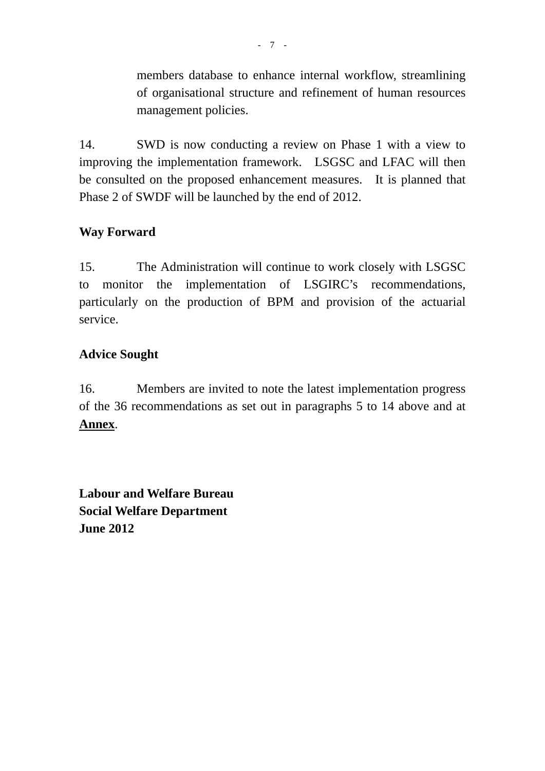members database to enhance internal workflow, streamlining of organisational structure and refinement of human resources management policies.

14. SWD is now conducting a review on Phase 1 with a view to improving the implementation framework. LSGSC and LFAC will then be consulted on the proposed enhancement measures. It is planned that Phase 2 of SWDF will be launched by the end of 2012.

# **Way Forward**

15. The Administration will continue to work closely with LSGSC to monitor the implementation of LSGIRC's recommendations, particularly on the production of BPM and provision of the actuarial service.

# **Advice Sought**

16. Members are invited to note the latest implementation progress of the 36 recommendations as set out in paragraphs 5 to 14 above and at **Annex**.

**Labour and Welfare Bureau Social Welfare Department June 2012**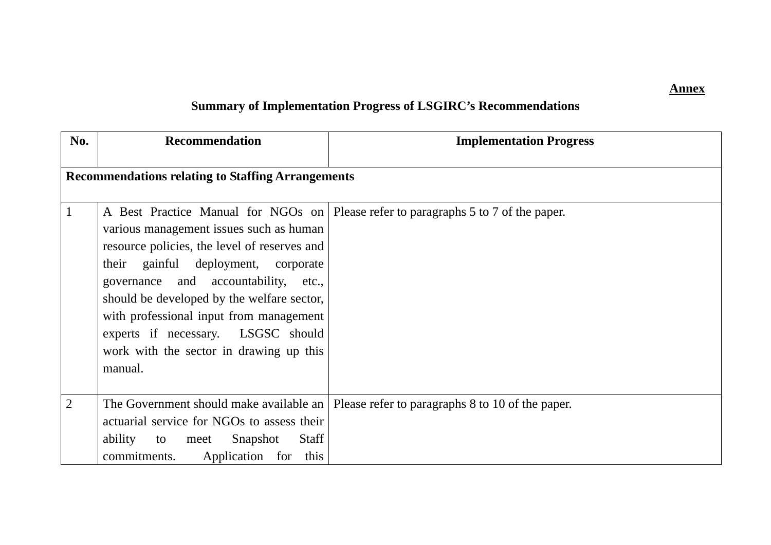#### **Annex**

# **Summary of Implementation Progress of LSGIRC's Recommendations**

| No.            | <b>Recommendation</b>                                                                                                                                                                                                                                                                                                                                       | <b>Implementation Progress</b>                                                       |
|----------------|-------------------------------------------------------------------------------------------------------------------------------------------------------------------------------------------------------------------------------------------------------------------------------------------------------------------------------------------------------------|--------------------------------------------------------------------------------------|
|                | <b>Recommendations relating to Staffing Arrangements</b>                                                                                                                                                                                                                                                                                                    |                                                                                      |
| 1              | various management issues such as human<br>resource policies, the level of reserves and<br>their gainful deployment, corporate<br>governance and accountability, etc.,<br>should be developed by the welfare sector,<br>with professional input from management<br>experts if necessary. LSGSC should<br>work with the sector in drawing up this<br>manual. | A Best Practice Manual for NGOs on   Please refer to paragraphs 5 to 7 of the paper. |
| $\overline{2}$ | The Government should make available an<br>actuarial service for NGOs to assess their<br>ability<br><b>Staff</b><br>Snapshot<br>to meet<br>commitments.<br>Application for this                                                                                                                                                                             | Please refer to paragraphs 8 to 10 of the paper.                                     |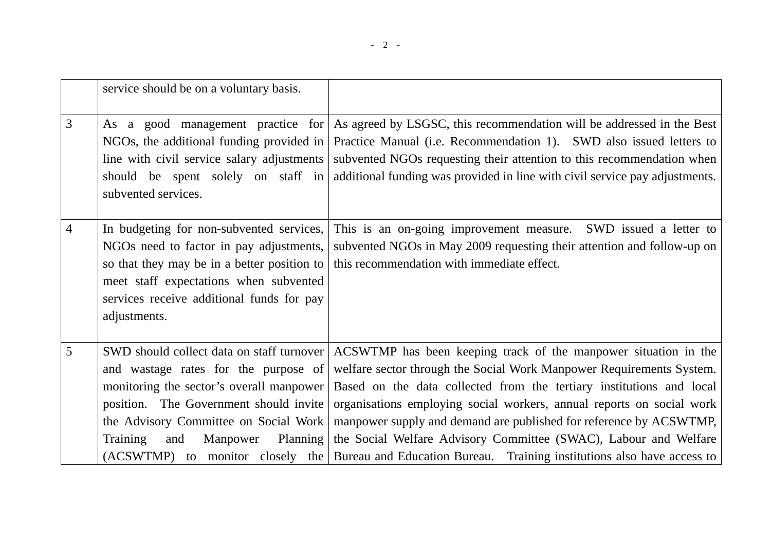|                | service should be on a voluntary basis.                                                                                                                                                                                                                            |                                                                                                                                                                                                                                                                                                                                                                                                                                                                                                                                               |
|----------------|--------------------------------------------------------------------------------------------------------------------------------------------------------------------------------------------------------------------------------------------------------------------|-----------------------------------------------------------------------------------------------------------------------------------------------------------------------------------------------------------------------------------------------------------------------------------------------------------------------------------------------------------------------------------------------------------------------------------------------------------------------------------------------------------------------------------------------|
| 3              | As a good management practice for<br>NGOs, the additional funding provided in<br>line with civil service salary adjustments<br>should be spent solely on staff in<br>subvented services.                                                                           | As agreed by LSGSC, this recommendation will be addressed in the Best<br>Practice Manual (i.e. Recommendation 1). SWD also issued letters to<br>subvented NGOs requesting their attention to this recommendation when<br>additional funding was provided in line with civil service pay adjustments.                                                                                                                                                                                                                                          |
| $\overline{4}$ | In budgeting for non-subvented services,<br>NGOs need to factor in pay adjustments,<br>so that they may be in a better position to<br>meet staff expectations when subvented<br>services receive additional funds for pay<br>adjustments.                          | This is an on-going improvement measure.<br>SWD issued a letter to<br>subvented NGOs in May 2009 requesting their attention and follow-up on<br>this recommendation with immediate effect.                                                                                                                                                                                                                                                                                                                                                    |
| 5              | SWD should collect data on staff turnover<br>and wastage rates for the purpose of<br>monitoring the sector's overall manpower<br>position. The Government should invite<br>the Advisory Committee on Social Work<br><b>Training</b><br>Manpower<br>Planning<br>and | ACSWTMP has been keeping track of the manpower situation in the<br>welfare sector through the Social Work Manpower Requirements System.<br>Based on the data collected from the tertiary institutions and local<br>organisations employing social workers, annual reports on social work<br>manpower supply and demand are published for reference by ACSWTMP,<br>the Social Welfare Advisory Committee (SWAC), Labour and Welfare<br>(ACSWTMP) to monitor closely the Bureau and Education Bureau. Training institutions also have access to |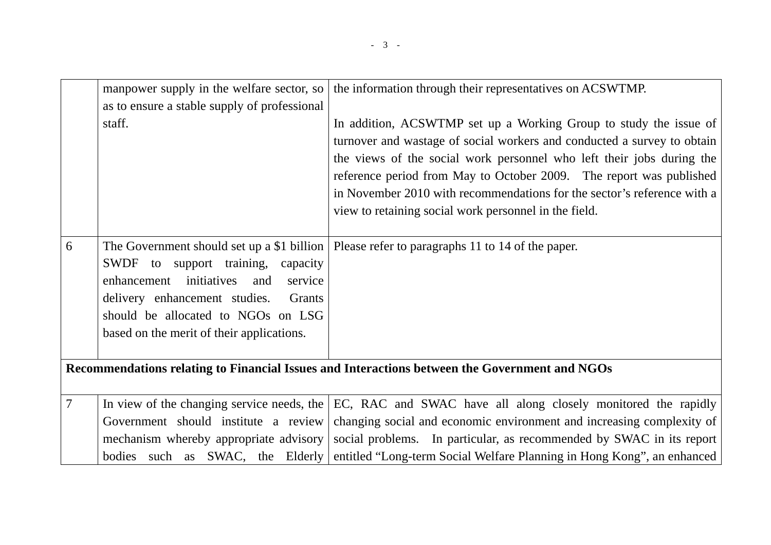|                | manpower supply in the welfare sector, so    | the information through their representatives on ACSWTMP.                                     |
|----------------|----------------------------------------------|-----------------------------------------------------------------------------------------------|
|                | as to ensure a stable supply of professional |                                                                                               |
|                | staff.                                       | In addition, ACSWTMP set up a Working Group to study the issue of                             |
|                |                                              | turnover and wastage of social workers and conducted a survey to obtain                       |
|                |                                              | the views of the social work personnel who left their jobs during the                         |
|                |                                              | reference period from May to October 2009. The report was published                           |
|                |                                              | in November 2010 with recommendations for the sector's reference with a                       |
|                |                                              | view to retaining social work personnel in the field.                                         |
|                |                                              |                                                                                               |
| 6              | The Government should set up a \$1 billion   | Please refer to paragraphs 11 to 14 of the paper.                                             |
|                | SWDF to support training, capacity           |                                                                                               |
|                | initiatives<br>enhancement<br>and<br>service |                                                                                               |
|                | delivery enhancement studies.<br>Grants      |                                                                                               |
|                | should be allocated to NGOs on LSG           |                                                                                               |
|                | based on the merit of their applications.    |                                                                                               |
|                |                                              |                                                                                               |
|                |                                              | Recommendations relating to Financial Issues and Interactions between the Government and NGOs |
|                |                                              |                                                                                               |
| $\overline{7}$ | In view of the changing service needs, the   | EC, RAC and SWAC have all along closely monitored the rapidly                                 |
|                | Government should institute a review         | changing social and economic environment and increasing complexity of                         |
|                | mechanism whereby appropriate advisory       | social problems. In particular, as recommended by SWAC in its report                          |
|                | bodies such as SWAC, the Elderly             | entitled "Long-term Social Welfare Planning in Hong Kong", an enhanced                        |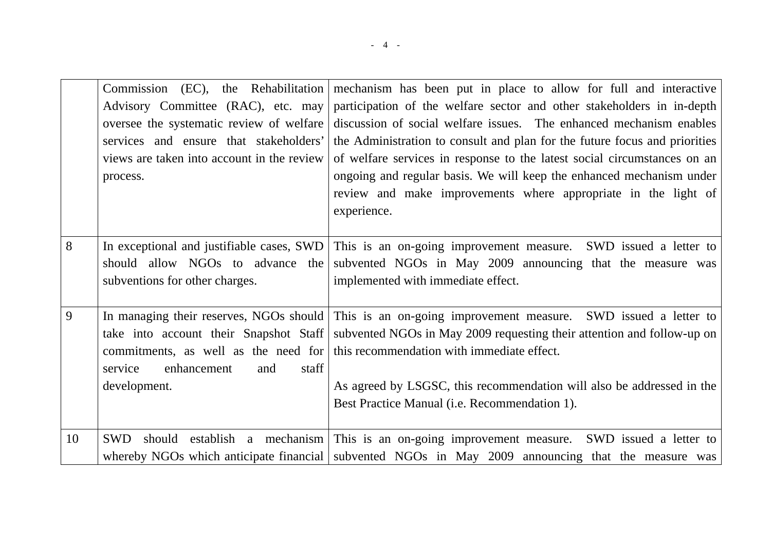|    | Advisory Committee (RAC), etc. may<br>oversee the systematic review of welfare<br>services and ensure that stakeholders'<br>views are taken into account in the review<br>process. | Commission (EC), the Rehabilitation mechanism has been put in place to allow for full and interactive<br>participation of the welfare sector and other stakeholders in in-depth<br>discussion of social welfare issues. The enhanced mechanism enables<br>the Administration to consult and plan for the future focus and priorities<br>of welfare services in response to the latest social circumstances on an<br>ongoing and regular basis. We will keep the enhanced mechanism under |
|----|------------------------------------------------------------------------------------------------------------------------------------------------------------------------------------|------------------------------------------------------------------------------------------------------------------------------------------------------------------------------------------------------------------------------------------------------------------------------------------------------------------------------------------------------------------------------------------------------------------------------------------------------------------------------------------|
|    |                                                                                                                                                                                    | review and make improvements where appropriate in the light of<br>experience.                                                                                                                                                                                                                                                                                                                                                                                                            |
| 8  | In exceptional and justifiable cases, SWD<br>should allow NGOs to advance the<br>subventions for other charges.                                                                    | This is an on-going improvement measure. SWD issued a letter to<br>subvented NGOs in May 2009 announcing that the measure was<br>implemented with immediate effect.                                                                                                                                                                                                                                                                                                                      |
| 9  | enhancement<br>staff<br>service<br>and<br>development.                                                                                                                             | In managing their reserves, NGOs should This is an on-going improvement measure. SWD issued a letter to<br>take into account their Snapshot Staff subvented NGOs in May 2009 requesting their attention and follow-up on<br>commitments, as well as the need for this recommendation with immediate effect.<br>As agreed by LSGSC, this recommendation will also be addressed in the<br>Best Practice Manual (i.e. Recommendation 1).                                                    |
| 10 | <b>SWD</b>                                                                                                                                                                         | should establish a mechanism This is an on-going improvement measure. SWD issued a letter to<br>whereby NGOs which anticipate financial subvented NGOs in May 2009 announcing that the measure was                                                                                                                                                                                                                                                                                       |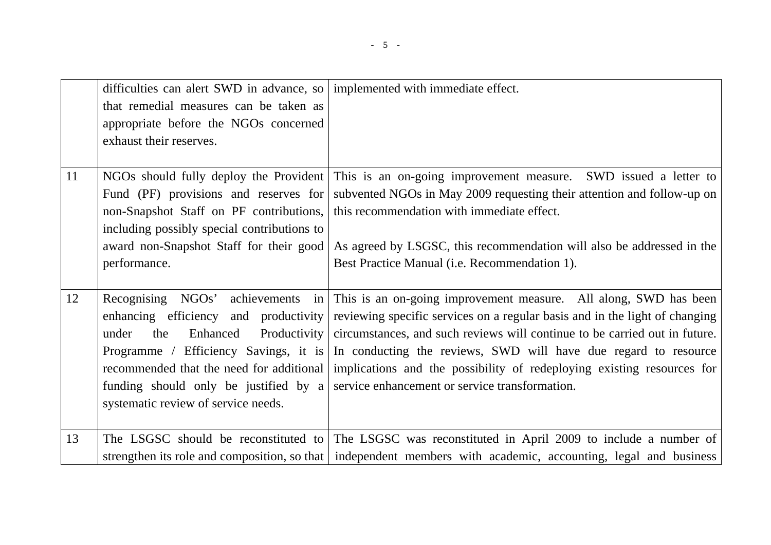|    | difficulties can alert SWD in advance, so   implemented with immediate effect. |                                                                                                                |
|----|--------------------------------------------------------------------------------|----------------------------------------------------------------------------------------------------------------|
|    | that remedial measures can be taken as                                         |                                                                                                                |
|    | appropriate before the NGOs concerned                                          |                                                                                                                |
|    | exhaust their reserves.                                                        |                                                                                                                |
|    |                                                                                |                                                                                                                |
| 11 | NGOs should fully deploy the Provident                                         | This is an on-going improvement measure. SWD issued a letter to                                                |
|    | Fund (PF) provisions and reserves for                                          | subvented NGOs in May 2009 requesting their attention and follow-up on                                         |
|    | non-Snapshot Staff on PF contributions,                                        | this recommendation with immediate effect.                                                                     |
|    | including possibly special contributions to                                    |                                                                                                                |
|    | award non-Snapshot Staff for their good                                        | As agreed by LSGSC, this recommendation will also be addressed in the                                          |
|    | performance.                                                                   | Best Practice Manual (i.e. Recommendation 1).                                                                  |
|    |                                                                                |                                                                                                                |
| 12 |                                                                                | Recognising NGOs' achievements in This is an on-going improvement measure. All along, SWD has been             |
|    | enhancing efficiency and productivity                                          | reviewing specific services on a regular basis and in the light of changing                                    |
|    | Productivity<br>the<br>Enhanced<br>under                                       | circumstances, and such reviews will continue to be carried out in future.                                     |
|    |                                                                                | Programme / Efficiency Savings, it is In conducting the reviews, SWD will have due regard to resource          |
|    | recommended that the need for additional                                       | implications and the possibility of redeploying existing resources for                                         |
|    |                                                                                | funding should only be justified by a service enhancement or service transformation.                           |
|    | systematic review of service needs.                                            |                                                                                                                |
|    |                                                                                |                                                                                                                |
| 13 |                                                                                | The LSGSC should be reconstituted to The LSGSC was reconstituted in April 2009 to include a number of          |
|    |                                                                                | strengthen its role and composition, so that independent members with academic, accounting, legal and business |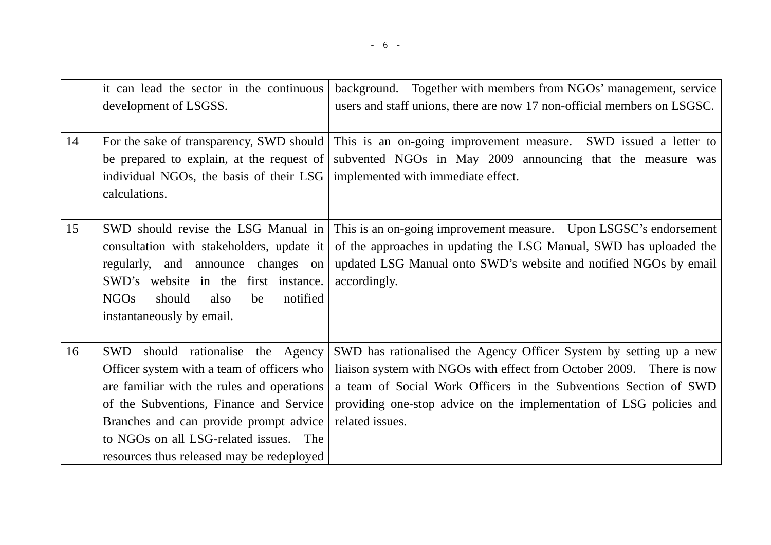|    | it can lead the sector in the continuous<br>development of LSGSS.                                                                                                                                                                                                                                                   | background. Together with members from NGOs' management, service<br>users and staff unions, there are now 17 non-official members on LSGSC.                                                                                                                                                              |
|----|---------------------------------------------------------------------------------------------------------------------------------------------------------------------------------------------------------------------------------------------------------------------------------------------------------------------|----------------------------------------------------------------------------------------------------------------------------------------------------------------------------------------------------------------------------------------------------------------------------------------------------------|
| 14 | individual NGOs, the basis of their LSG   implemented with immediate effect.<br>calculations.                                                                                                                                                                                                                       | For the sake of transparency, SWD should This is an on-going improvement measure. SWD issued a letter to<br>be prepared to explain, at the request of subvented NGOs in May 2009 announcing that the measure was                                                                                         |
| 15 | SWD should revise the LSG Manual in<br>consultation with stakeholders, update it<br>regularly, and announce changes on<br>SWD's website in the first instance.<br><b>NGOs</b><br>notified<br>should<br>also<br>be<br>instantaneously by email.                                                                      | This is an on-going improvement measure. Upon LSGSC's endorsement<br>of the approaches in updating the LSG Manual, SWD has uploaded the<br>updated LSG Manual onto SWD's website and notified NGOs by email<br>accordingly.                                                                              |
| 16 | should rationalise the Agency<br><b>SWD</b><br>Officer system with a team of officers who<br>are familiar with the rules and operations<br>of the Subventions, Finance and Service<br>Branches and can provide prompt advice<br>to NGOs on all LSG-related issues. The<br>resources thus released may be redeployed | SWD has rationalised the Agency Officer System by setting up a new<br>liaison system with NGOs with effect from October 2009. There is now<br>a team of Social Work Officers in the Subventions Section of SWD<br>providing one-stop advice on the implementation of LSG policies and<br>related issues. |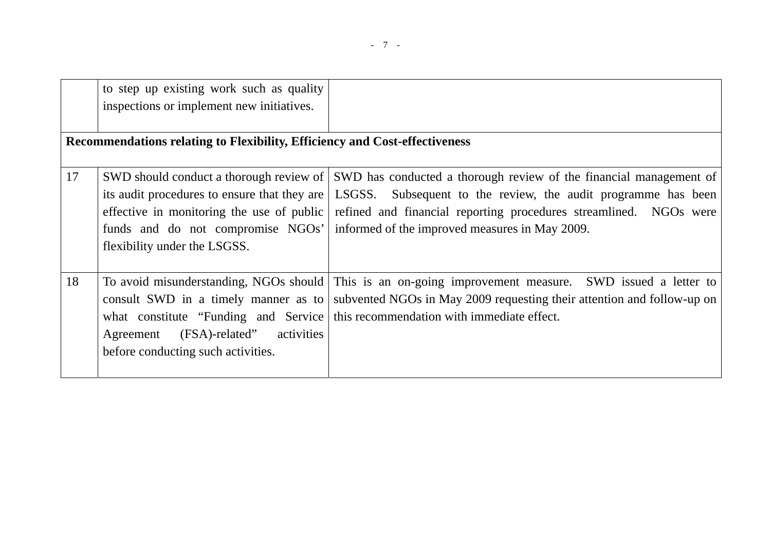|    | to step up existing work such as quality<br>inspections or implement new initiatives. |                                                                                                                                                                                                                                                                                                                                                                                                                               |
|----|---------------------------------------------------------------------------------------|-------------------------------------------------------------------------------------------------------------------------------------------------------------------------------------------------------------------------------------------------------------------------------------------------------------------------------------------------------------------------------------------------------------------------------|
|    | Recommendations relating to Flexibility, Efficiency and Cost-effectiveness            |                                                                                                                                                                                                                                                                                                                                                                                                                               |
| 17 | flexibility under the LSGSS.                                                          | SWD should conduct a thorough review of SWD has conducted a thorough review of the financial management of<br>its audit procedures to ensure that they are   LSGSS. Subsequent to the review, the audit programme has been<br>effective in monitoring the use of public refined and financial reporting procedures streamlined. NGOs were<br>funds and do not compromise NGOs' informed of the improved measures in May 2009. |
| 18 | (FSA)-related"<br>activities<br>Agreement<br>before conducting such activities.       | To avoid misunderstanding, NGOs should This is an on-going improvement measure. SWD issued a letter to<br>consult SWD in a timely manner as to subvented NGOs in May 2009 requesting their attention and follow-up on<br>what constitute "Funding and Service   this recommendation with immediate effect.                                                                                                                    |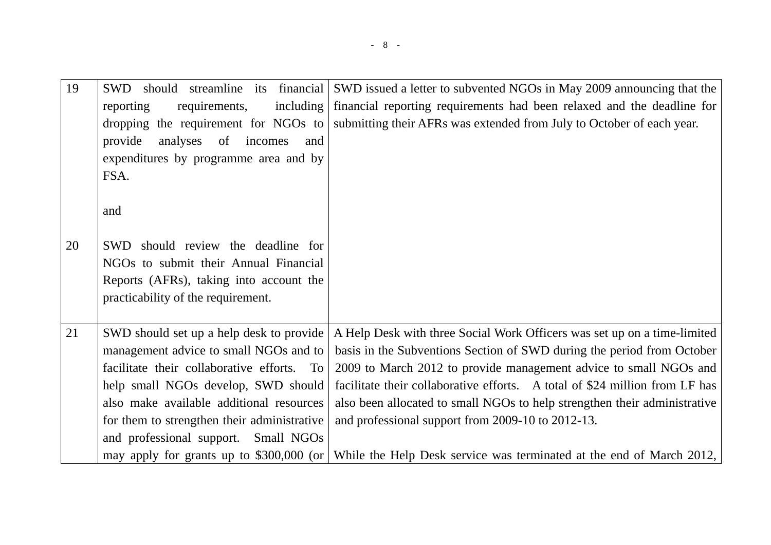| 19 | should streamline its financial<br><b>SWD</b> | SWD issued a letter to subvented NGOs in May 2009 announcing that the                                      |
|----|-----------------------------------------------|------------------------------------------------------------------------------------------------------------|
|    | reporting<br>requirements,<br>including       | financial reporting requirements had been relaxed and the deadline for                                     |
|    |                                               | dropping the requirement for NGOs to submitting their AFRs was extended from July to October of each year. |
|    | provide<br>analyses<br>of<br>incomes<br>and   |                                                                                                            |
|    | expenditures by programme area and by         |                                                                                                            |
|    | FSA.                                          |                                                                                                            |
|    |                                               |                                                                                                            |
|    | and                                           |                                                                                                            |
|    |                                               |                                                                                                            |
| 20 | SWD should review the deadline for            |                                                                                                            |
|    | NGOs to submit their Annual Financial         |                                                                                                            |
|    | Reports (AFRs), taking into account the       |                                                                                                            |
|    | practicability of the requirement.            |                                                                                                            |
|    |                                               |                                                                                                            |
| 21 | SWD should set up a help desk to provide      | A Help Desk with three Social Work Officers was set up on a time-limited                                   |
|    | management advice to small NGOs and to        | basis in the Subventions Section of SWD during the period from October                                     |
|    | facilitate their collaborative efforts. To    | 2009 to March 2012 to provide management advice to small NGOs and                                          |
|    | help small NGOs develop, SWD should           | facilitate their collaborative efforts. A total of \$24 million from LF has                                |
|    | also make available additional resources      | also been allocated to small NGOs to help strengthen their administrative                                  |
|    | for them to strengthen their administrative   | and professional support from 2009-10 to 2012-13.                                                          |
|    | and professional support. Small NGOs          |                                                                                                            |
|    | may apply for grants up to \$300,000 (or      | While the Help Desk service was terminated at the end of March 2012,                                       |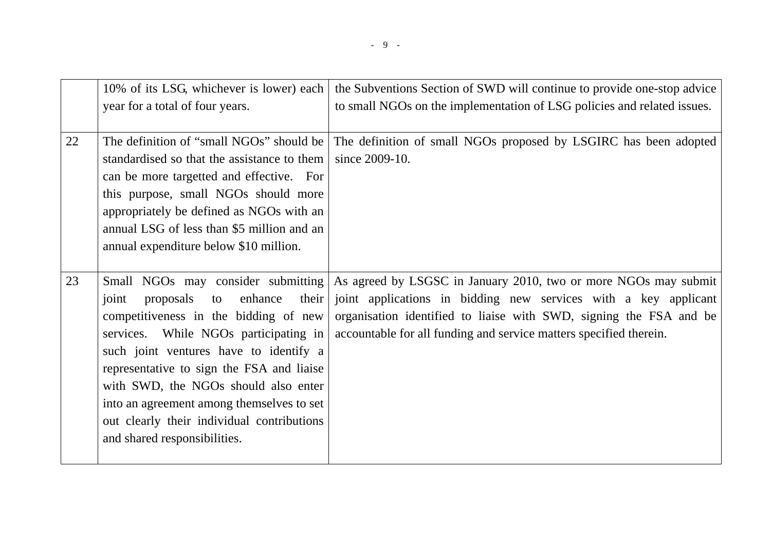|    | 10% of its LSG, whichever is lower) each<br>year for a total of four years.                                                                                                                                                                                                                                                                                                                                                    | the Subventions Section of SWD will continue to provide one-stop advice<br>to small NGOs on the implementation of LSG policies and related issues.                                                                                                                             |
|----|--------------------------------------------------------------------------------------------------------------------------------------------------------------------------------------------------------------------------------------------------------------------------------------------------------------------------------------------------------------------------------------------------------------------------------|--------------------------------------------------------------------------------------------------------------------------------------------------------------------------------------------------------------------------------------------------------------------------------|
| 22 | The definition of "small NGOs" should be<br>standardised so that the assistance to them<br>can be more targetted and effective. For<br>this purpose, small NGOs should more<br>appropriately be defined as NGOs with an<br>annual LSG of less than \$5 million and an<br>annual expenditure below \$10 million.                                                                                                                | The definition of small NGOs proposed by LSGIRC has been adopted<br>since 2009-10.                                                                                                                                                                                             |
| 23 | Small NGOs may consider submitting<br>enhance<br>their<br>proposals<br>joint<br>to<br>competitiveness in the bidding of new<br>services. While NGOs participating in<br>such joint ventures have to identify a<br>representative to sign the FSA and liaise<br>with SWD, the NGOs should also enter<br>into an agreement among themselves to set<br>out clearly their individual contributions<br>and shared responsibilities. | As agreed by LSGSC in January 2010, two or more NGOs may submit<br>joint applications in bidding new services with a key applicant<br>organisation identified to liaise with SWD, signing the FSA and be<br>accountable for all funding and service matters specified therein. |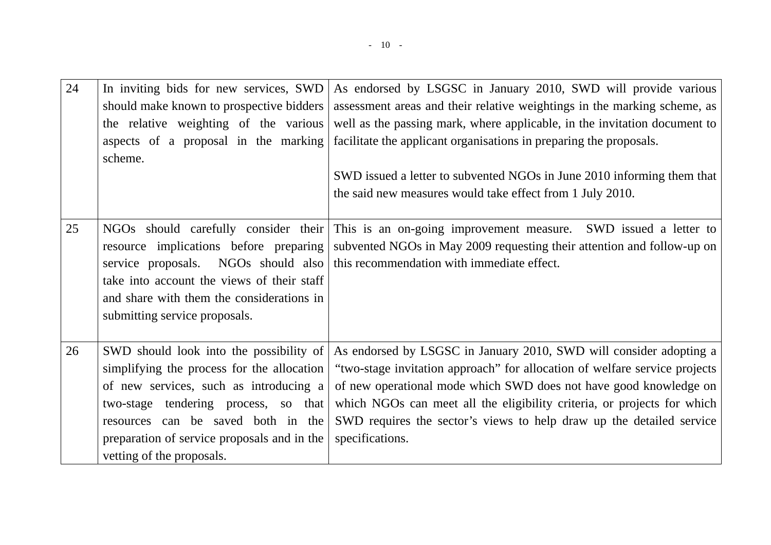| 24 | In inviting bids for new services, SWD<br>should make known to prospective bidders<br>the relative weighting of the various<br>aspects of a proposal in the marking<br>scheme.                                                                                                            | As endorsed by LSGSC in January 2010, SWD will provide various<br>assessment areas and their relative weightings in the marking scheme, as<br>well as the passing mark, where applicable, in the invitation document to<br>facilitate the applicant organisations in preparing the proposals.<br>SWD issued a letter to subvented NGOs in June 2010 informing them that<br>the said new measures would take effect from 1 July 2010. |
|----|-------------------------------------------------------------------------------------------------------------------------------------------------------------------------------------------------------------------------------------------------------------------------------------------|--------------------------------------------------------------------------------------------------------------------------------------------------------------------------------------------------------------------------------------------------------------------------------------------------------------------------------------------------------------------------------------------------------------------------------------|
| 25 | NGOs should carefully consider their<br>resource implications before preparing<br>take into account the views of their staff<br>and share with them the considerations in<br>submitting service proposals.                                                                                | This is an on-going improvement measure. SWD issued a letter to<br>subvented NGOs in May 2009 requesting their attention and follow-up on<br>service proposals. NGOs should also this recommendation with immediate effect.                                                                                                                                                                                                          |
| 26 | SWD should look into the possibility of<br>simplifying the process for the allocation<br>of new services, such as introducing a<br>two-stage tendering process, so that<br>resources can be saved both in the<br>preparation of service proposals and in the<br>vetting of the proposals. | As endorsed by LSGSC in January 2010, SWD will consider adopting a<br>"two-stage invitation approach" for allocation of welfare service projects<br>of new operational mode which SWD does not have good knowledge on<br>which NGOs can meet all the eligibility criteria, or projects for which<br>SWD requires the sector's views to help draw up the detailed service<br>specifications.                                          |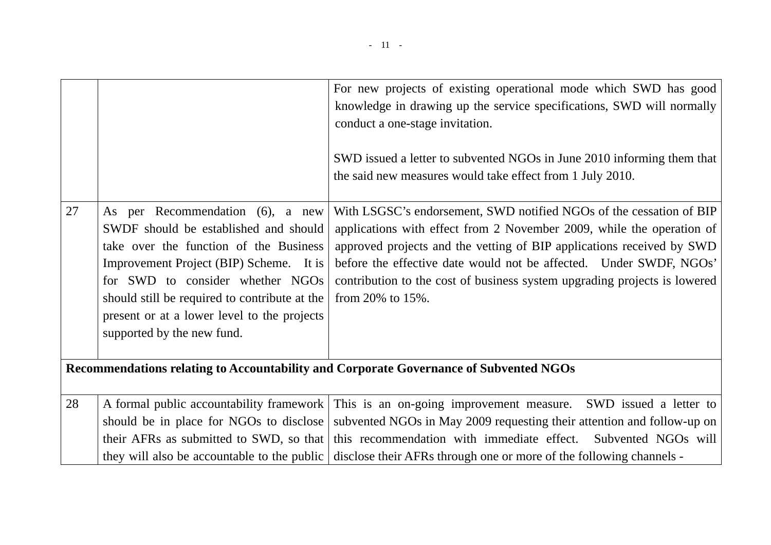|    |                                                                                                                                                                                                                                                                                                                                  | For new projects of existing operational mode which SWD has good<br>knowledge in drawing up the service specifications, SWD will normally<br>conduct a one-stage invitation.<br>SWD issued a letter to subvented NGOs in June 2010 informing them that<br>the said new measures would take effect from 1 July 2010.                                                                             |
|----|----------------------------------------------------------------------------------------------------------------------------------------------------------------------------------------------------------------------------------------------------------------------------------------------------------------------------------|-------------------------------------------------------------------------------------------------------------------------------------------------------------------------------------------------------------------------------------------------------------------------------------------------------------------------------------------------------------------------------------------------|
| 27 | As per Recommendation (6), a new<br>SWDF should be established and should<br>take over the function of the Business<br>Improvement Project (BIP) Scheme. It is<br>for SWD to consider whether NGOs<br>should still be required to contribute at the<br>present or at a lower level to the projects<br>supported by the new fund. | With LSGSC's endorsement, SWD notified NGOs of the cessation of BIP<br>applications with effect from 2 November 2009, while the operation of<br>approved projects and the vetting of BIP applications received by SWD<br>before the effective date would not be affected. Under SWDF, NGOs'<br>contribution to the cost of business system upgrading projects is lowered<br>from 20% to $15%$ . |
|    |                                                                                                                                                                                                                                                                                                                                  | Recommendations relating to Accountability and Corporate Governance of Subvented NGOs                                                                                                                                                                                                                                                                                                           |
| 28 | A formal public accountability framework<br>should be in place for NGOs to disclose<br>their AFRs as submitted to SWD, so that<br>they will also be accountable to the public                                                                                                                                                    | This is an on-going improvement measure. SWD issued a letter to<br>subvented NGOs in May 2009 requesting their attention and follow-up on<br>this recommendation with immediate effect. Subvented NGOs will<br>disclose their AFRs through one or more of the following channels -                                                                                                              |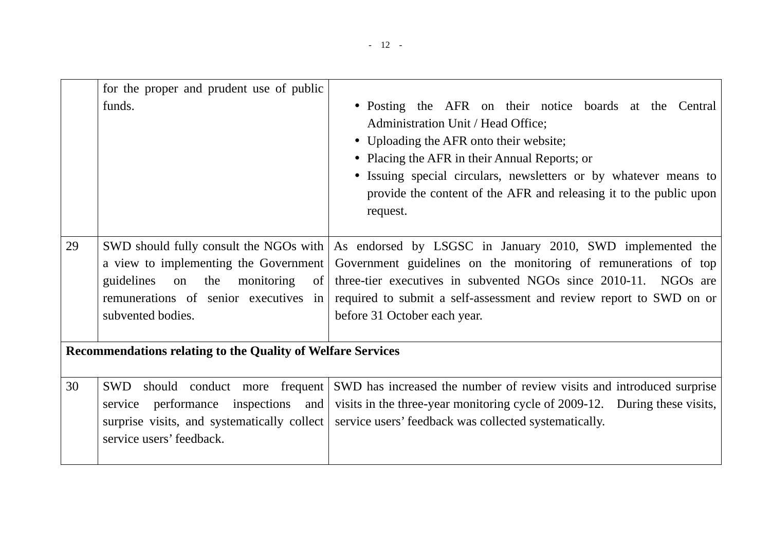|    | for the proper and prudent use of public<br>funds.                                                                                                                                                                                                                       | • Posting the AFR on their notice boards at the Central<br>Administration Unit / Head Office;<br>• Uploading the AFR onto their website;<br>• Placing the AFR in their Annual Reports; or<br>• Issuing special circulars, newsletters or by whatever means to<br>provide the content of the AFR and releasing it to the public upon<br>request. |
|----|--------------------------------------------------------------------------------------------------------------------------------------------------------------------------------------------------------------------------------------------------------------------------|-------------------------------------------------------------------------------------------------------------------------------------------------------------------------------------------------------------------------------------------------------------------------------------------------------------------------------------------------|
| 29 | SWD should fully consult the NGOs with<br>a view to implementing the Government<br>guidelines<br>the<br>monitoring<br>on<br>$\sigma$<br>remunerations of senior executives in<br>subvented bodies.<br><b>Recommendations relating to the Quality of Welfare Services</b> | As endorsed by LSGSC in January 2010, SWD implemented the<br>Government guidelines on the monitoring of remunerations of top<br>three-tier executives in subvented NGOs since 2010-11. NGOs are<br>required to submit a self-assessment and review report to SWD on or<br>before 31 October each year.                                          |
| 30 | should conduct more frequent<br>SWD<br>inspections<br>performance<br>and<br>service<br>surprise visits, and systematically collect<br>service users' feedback.                                                                                                           | SWD has increased the number of review visits and introduced surprise<br>visits in the three-year monitoring cycle of 2009-12. During these visits,<br>service users' feedback was collected systematically.                                                                                                                                    |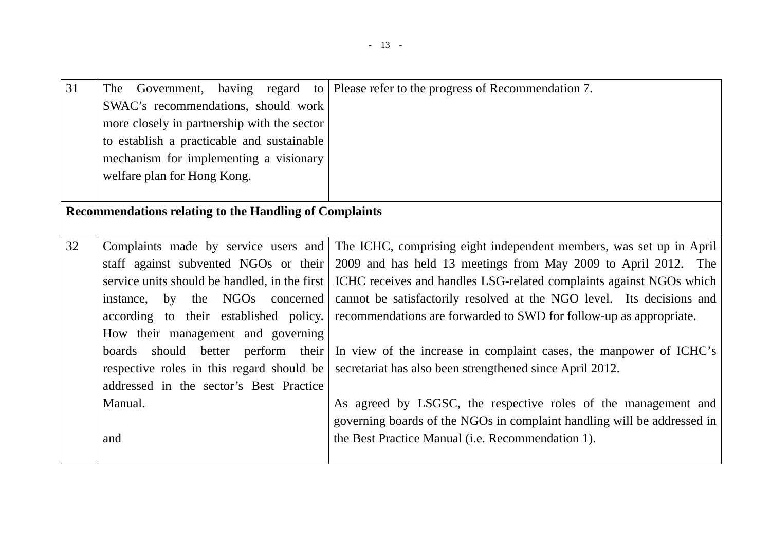| 31 | The<br>SWAC's recommendations, should work<br>more closely in partnership with the sector<br>to establish a practicable and sustainable<br>mechanism for implementing a visionary<br>welfare plan for Hong Kong. | Government, having regard to   Please refer to the progress of Recommendation 7.                                    |
|----|------------------------------------------------------------------------------------------------------------------------------------------------------------------------------------------------------------------|---------------------------------------------------------------------------------------------------------------------|
|    | <b>Recommendations relating to the Handling of Complaints</b>                                                                                                                                                    |                                                                                                                     |
|    |                                                                                                                                                                                                                  |                                                                                                                     |
| 32 | Complaints made by service users and                                                                                                                                                                             | The ICHC, comprising eight independent members, was set up in April                                                 |
|    | staff against subvented NGOs or their                                                                                                                                                                            | 2009 and has held 13 meetings from May 2009 to April 2012. The                                                      |
|    |                                                                                                                                                                                                                  | service units should be handled, in the first   ICHC receives and handles LSG-related complaints against NGOs which |
|    | by the NGOs concerned<br>instance,                                                                                                                                                                               | cannot be satisfactorily resolved at the NGO level. Its decisions and                                               |
|    | according to their established policy.                                                                                                                                                                           | recommendations are forwarded to SWD for follow-up as appropriate.                                                  |
|    | How their management and governing                                                                                                                                                                               |                                                                                                                     |
|    | boards should better perform their                                                                                                                                                                               | In view of the increase in complaint cases, the manpower of ICHC's                                                  |
|    | respective roles in this regard should be                                                                                                                                                                        | secretariat has also been strengthened since April 2012.                                                            |
|    | addressed in the sector's Best Practice                                                                                                                                                                          |                                                                                                                     |
|    | Manual.                                                                                                                                                                                                          | As agreed by LSGSC, the respective roles of the management and                                                      |
|    |                                                                                                                                                                                                                  | governing boards of the NGOs in complaint handling will be addressed in                                             |
|    |                                                                                                                                                                                                                  |                                                                                                                     |
|    | and                                                                                                                                                                                                              | the Best Practice Manual (i.e. Recommendation 1).                                                                   |
|    |                                                                                                                                                                                                                  |                                                                                                                     |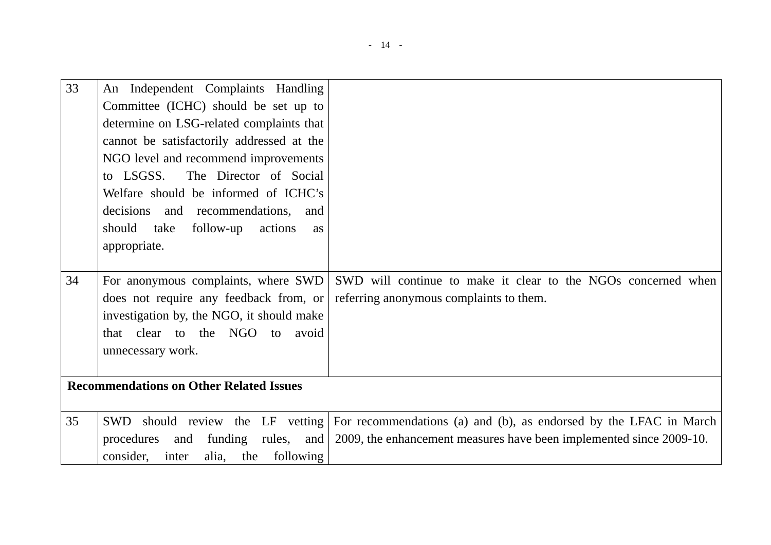| 33 | An Independent Complaints Handling              |                                                                     |
|----|-------------------------------------------------|---------------------------------------------------------------------|
|    | Committee (ICHC) should be set up to            |                                                                     |
|    | determine on LSG-related complaints that        |                                                                     |
|    | cannot be satisfactorily addressed at the       |                                                                     |
|    | NGO level and recommend improvements            |                                                                     |
|    | The Director of Social<br>to LSGSS.             |                                                                     |
|    | Welfare should be informed of ICHC's            |                                                                     |
|    | decisions and recommendations, and              |                                                                     |
|    | should<br>take<br>follow-up<br>actions<br>as    |                                                                     |
|    | appropriate.                                    |                                                                     |
|    |                                                 |                                                                     |
| 34 | For anonymous complaints, where SWD             | SWD will continue to make it clear to the NGOs concerned when       |
|    | does not require any feedback from, or          | referring anonymous complaints to them.                             |
|    | investigation by, the NGO, it should make       |                                                                     |
|    | that clear to the NGO<br>avoid<br>to            |                                                                     |
|    | unnecessary work.                               |                                                                     |
|    |                                                 |                                                                     |
|    | <b>Recommendations on Other Related Issues</b>  |                                                                     |
|    |                                                 |                                                                     |
| 35 | SWD should review the LF vetting                | For recommendations (a) and (b), as endorsed by the LFAC in March   |
|    | procedures<br>funding<br>rules,<br>and<br>and   | 2009, the enhancement measures have been implemented since 2009-10. |
|    | alia,<br>following<br>consider,<br>inter<br>the |                                                                     |
|    |                                                 |                                                                     |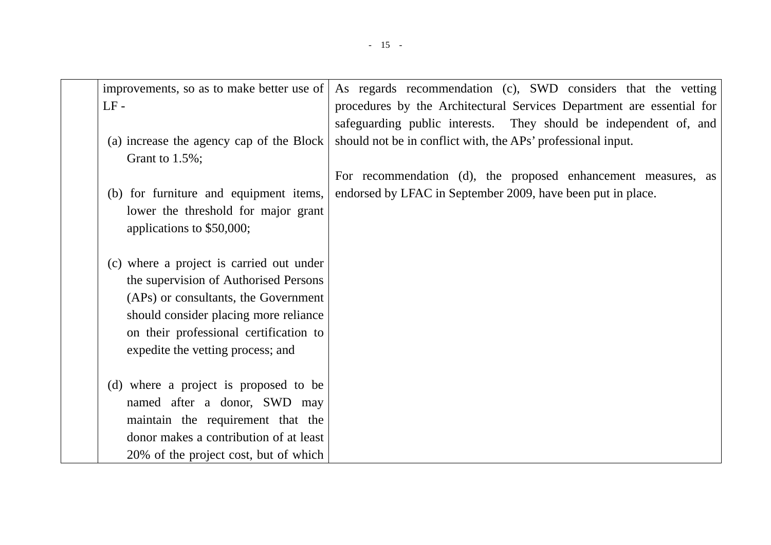| improvements, so as to make better use of<br>$LF-$             | As regards recommendation (c), SWD considers that the vetting<br>procedures by the Architectural Services Department are essential for<br>safeguarding public interests. They should be independent of, and |
|----------------------------------------------------------------|-------------------------------------------------------------------------------------------------------------------------------------------------------------------------------------------------------------|
| (a) increase the agency cap of the Block<br>Grant to $1.5\%$ ; | should not be in conflict with, the APs' professional input.                                                                                                                                                |
|                                                                | For recommendation (d), the proposed enhancement measures, as                                                                                                                                               |
| (b) for furniture and equipment items,                         | endorsed by LFAC in September 2009, have been put in place.                                                                                                                                                 |
| lower the threshold for major grant                            |                                                                                                                                                                                                             |
| applications to \$50,000;                                      |                                                                                                                                                                                                             |
|                                                                |                                                                                                                                                                                                             |
| (c) where a project is carried out under                       |                                                                                                                                                                                                             |
| the supervision of Authorised Persons                          |                                                                                                                                                                                                             |
| (APs) or consultants, the Government                           |                                                                                                                                                                                                             |
| should consider placing more reliance                          |                                                                                                                                                                                                             |
| on their professional certification to                         |                                                                                                                                                                                                             |
| expedite the vetting process; and                              |                                                                                                                                                                                                             |
| (d) where a project is proposed to be                          |                                                                                                                                                                                                             |
| named after a donor, SWD may                                   |                                                                                                                                                                                                             |
| maintain the requirement that the                              |                                                                                                                                                                                                             |
| donor makes a contribution of at least                         |                                                                                                                                                                                                             |
| 20% of the project cost, but of which                          |                                                                                                                                                                                                             |
|                                                                |                                                                                                                                                                                                             |